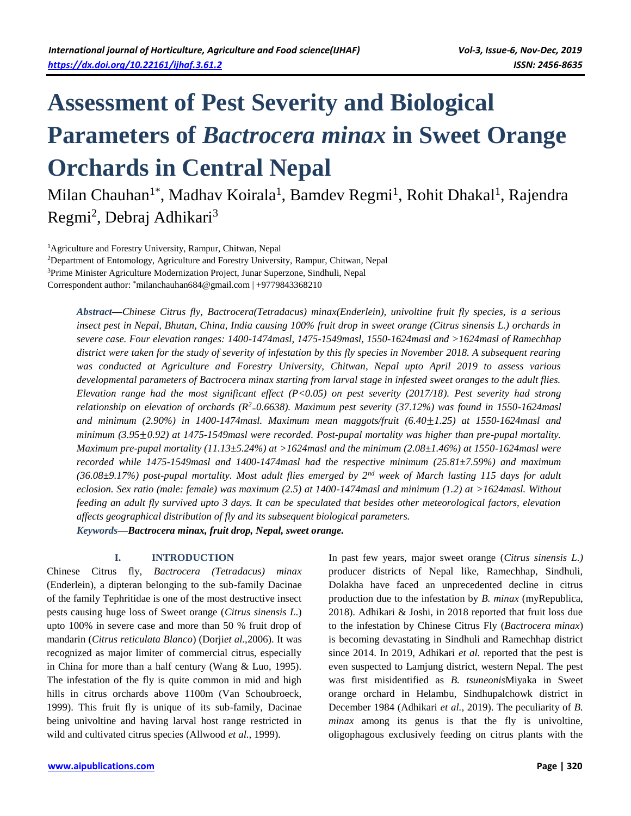# **Assessment of Pest Severity and Biological Parameters of** *Bactrocera minax* **in Sweet Orange Orchards in Central Nepal**

Milan Chauhan<sup>1\*</sup>, Madhav Koirala<sup>1</sup>, Bamdev Regmi<sup>1</sup>, Rohit Dhakal<sup>1</sup>, Rajendra Regmi<sup>2</sup>, Debraj Adhikari<sup>3</sup>

<sup>1</sup>Agriculture and Forestry University, Rampur, Chitwan, Nepal <sup>2</sup>Department of Entomology, Agriculture and Forestry University, Rampur, Chitwan, Nepal <sup>3</sup>Prime Minister Agriculture Modernization Project, Junar Superzone, Sindhuli, Nepal Correspondent author: \*milanchauhan684@gmail.com | +9779843368210

*Abstract***—***Chinese Citrus fly, Bactrocera(Tetradacus) minax(Enderlein), univoltine fruit fly species, is a serious insect pest in Nepal, Bhutan, China, India causing 100% fruit drop in sweet orange (Citrus sinensis L.) orchards in severe case. Four elevation ranges: 1400-1474masl, 1475-1549masl, 1550-1624masl and >1624masl of Ramechhap district were taken for the study of severity of infestation by this fly species in November 2018. A subsequent rearing was conducted at Agriculture and Forestry University, Chitwan, Nepal upto April 2019 to assess various developmental parameters of Bactrocera minax starting from larval stage in infested sweet oranges to the adult flies. Elevation range had the most significant effect (P<0.05) on pest severity (2017/18). Pest severity had strong relationship on elevation of orchards (R<sup>2</sup> <sup>=</sup>0.6638). Maximum pest severity (37.12%) was found in 1550-1624masl and minimum (2.90%) in 1400-1474masl. Maximum mean maggots/fruit (6.40*±*1.25) at 1550-1624masl and minimum (3.95*±*0.92) at 1475-1549masl were recorded. Post-pupal mortality was higher than pre-pupal mortality. Maximum pre-pupal mortality (11.13±5.24%) at >1624masl and the minimum (2.08±1.46%) at 1550-1624masl were recorded while 1475-1549masl and 1400-1474masl had the respective minimum (25.81±7.59%) and maximum (36.08±9.17%) post-pupal mortality. Most adult flies emerged by 2nd week of March lasting 115 days for adult eclosion. Sex ratio (male: female) was maximum (2.5) at 1400-1474masl and minimum (1.2) at >1624masl. Without feeding an adult fly survived upto 3 days. It can be speculated that besides other meteorological factors, elevation affects geographical distribution of fly and its subsequent biological parameters.* 

*Keywords***—***Bactrocera minax, fruit drop, Nepal, sweet orange.*

# **I. INTRODUCTION**

Chinese Citrus fly, *Bactrocera (Tetradacus) minax* (Enderlein), a dipteran belonging to the sub-family Dacinae of the family Tephritidae is one of the most destructive insect pests causing huge loss of Sweet orange (*Citrus sinensis L*.) upto 100% in severe case and more than 50 % fruit drop of mandarin (*Citrus reticulata Blanco*) (Dorji*et al.,*2006). It was recognized as major limiter of commercial citrus, especially in China for more than a half century (Wang & Luo, 1995). The infestation of the fly is quite common in mid and high hills in citrus orchards above 1100m (Van Schoubroeck, 1999). This fruit fly is unique of its sub-family, Dacinae being univoltine and having larval host range restricted in wild and cultivated citrus species (Allwood *et al.,* 1999).

In past few years, major sweet orange (*Citrus sinensis L.)* producer districts of Nepal like, Ramechhap, Sindhuli, Dolakha have faced an unprecedented decline in citrus production due to the infestation by *B. minax* (myRepublica, 2018). Adhikari & Joshi, in 2018 reported that fruit loss due to the infestation by Chinese Citrus Fly (*Bactrocera minax*) is becoming devastating in Sindhuli and Ramechhap district since 2014. In 2019, Adhikari *et al.* reported that the pest is even suspected to Lamjung district, western Nepal. The pest was first misidentified as *B. tsuneonis*Miyaka in Sweet orange orchard in Helambu, Sindhupalchowk district in December 1984 (Adhikari *et al.,* 2019). The peculiarity of *B. minax* among its genus is that the fly is univoltine, oligophagous exclusively feeding on citrus plants with the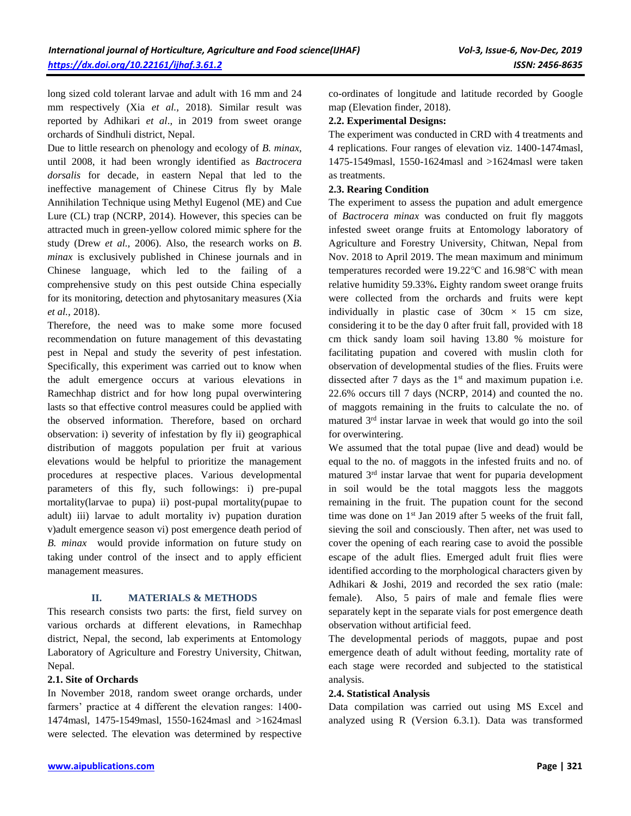long sized cold tolerant larvae and adult with 16 mm and 24 mm respectively (Xia *et al.,* 2018). Similar result was reported by Adhikari *et al*., in 2019 from sweet orange orchards of Sindhuli district, Nepal.

Due to little research on phenology and ecology of *B. minax,* until 2008, it had been wrongly identified as *Bactrocera dorsalis* for decade, in eastern Nepal that led to the ineffective management of Chinese Citrus fly by Male Annihilation Technique using Methyl Eugenol (ME) and Cue Lure (CL) trap (NCRP, 2014). However, this species can be attracted much in green-yellow colored mimic sphere for the study (Drew *et al.,* 2006). Also, the research works on *B. minax* is exclusively published in Chinese journals and in Chinese language, which led to the failing of a comprehensive study on this pest outside China especially for its monitoring, detection and phytosanitary measures (Xia *et al.,* 2018).

Therefore, the need was to make some more focused recommendation on future management of this devastating pest in Nepal and study the severity of pest infestation. Specifically, this experiment was carried out to know when the adult emergence occurs at various elevations in Ramechhap district and for how long pupal overwintering lasts so that effective control measures could be applied with the observed information. Therefore, based on orchard observation: i) severity of infestation by fly ii) geographical distribution of maggots population per fruit at various elevations would be helpful to prioritize the management procedures at respective places. Various developmental parameters of this fly, such followings: i) pre-pupal mortality(larvae to pupa) ii) post-pupal mortality(pupae to adult) iii) larvae to adult mortality iv) pupation duration v)adult emergence season vi) post emergence death period of *B. minax* would provide information on future study on taking under control of the insect and to apply efficient management measures.

### **II. MATERIALS & METHODS**

This research consists two parts: the first, field survey on various orchards at different elevations, in Ramechhap district, Nepal, the second, lab experiments at Entomology Laboratory of Agriculture and Forestry University, Chitwan, Nepal.

### **2.1. Site of Orchards**

In November 2018, random sweet orange orchards, under farmers' practice at 4 different the elevation ranges: 1400- 1474masl, 1475-1549masl, 1550-1624masl and >1624masl were selected. The elevation was determined by respective

co-ordinates of longitude and latitude recorded by Google map (Elevation finder, 2018).

# **2.2. Experimental Designs:**

The experiment was conducted in CRD with 4 treatments and 4 replications. Four ranges of elevation viz. 1400-1474masl, 1475-1549masl, 1550-1624masl and >1624masl were taken as treatments.

## **2.3. Rearing Condition**

The experiment to assess the pupation and adult emergence of *Bactrocera minax* was conducted on fruit fly maggots infested sweet orange fruits at Entomology laboratory of Agriculture and Forestry University, Chitwan, Nepal from Nov. 2018 to April 2019. The mean maximum and minimum temperatures recorded were 19.22℃ and 16.98℃ with mean relative humidity 59.33%**.** Eighty random sweet orange fruits were collected from the orchards and fruits were kept individually in plastic case of  $30 \text{cm} \times 15 \text{cm}$  size, considering it to be the day 0 after fruit fall, provided with 18 cm thick sandy loam soil having 13.80 % moisture for facilitating pupation and covered with muslin cloth for observation of developmental studies of the flies. Fruits were dissected after  $7$  days as the  $1<sup>st</sup>$  and maximum pupation i.e. 22.6% occurs till 7 days (NCRP, 2014) and counted the no. of maggots remaining in the fruits to calculate the no. of matured 3rd instar larvae in week that would go into the soil for overwintering.

We assumed that the total pupae (live and dead) would be equal to the no. of maggots in the infested fruits and no. of matured 3rd instar larvae that went for puparia development in soil would be the total maggots less the maggots remaining in the fruit. The pupation count for the second time was done on 1<sup>st</sup> Jan 2019 after 5 weeks of the fruit fall, sieving the soil and consciously. Then after, net was used to cover the opening of each rearing case to avoid the possible escape of the adult flies. Emerged adult fruit flies were identified according to the morphological characters given by Adhikari & Joshi, 2019 and recorded the sex ratio (male: female). Also, 5 pairs of male and female flies were separately kept in the separate vials for post emergence death observation without artificial feed.

The developmental periods of maggots, pupae and post emergence death of adult without feeding, mortality rate of each stage were recorded and subjected to the statistical analysis.

### **2.4. Statistical Analysis**

Data compilation was carried out using MS Excel and analyzed using R (Version 6.3.1). Data was transformed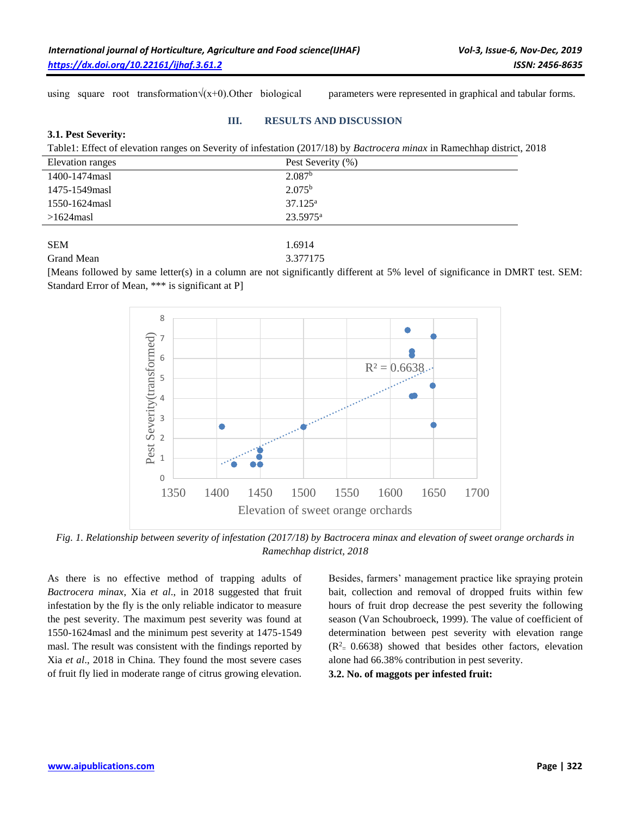using square root transformation√(x+0).Other biological parameters were represented in graphical and tabular forms.

#### **III. RESULTS AND DISCUSSION**

#### **3.1. Pest Severity:**

Table1: Effect of elevation ranges on Severity of infestation (2017/18) by *Bactrocera minax* in Ramechhap district, 2018

| <b>Elevation</b> ranges | Pest Severity (%)    |  |
|-------------------------|----------------------|--|
| 1400-1474 masl          | 2.087 <sup>b</sup>   |  |
| 1475-1549masl           | $2.075^{b}$          |  |
| 1550-1624 masl          | $37.125^{\rm a}$     |  |
| $>1624$ masl            | 23.5975 <sup>a</sup> |  |
|                         |                      |  |
| <b>SEM</b>              | 1.6914               |  |

#### Grand Mean 3.377175

[Means followed by same letter(s) in a column are not significantly different at 5% level of significance in DMRT test. SEM: Standard Error of Mean, \*\*\* is significant at P]



*Fig. 1. Relationship between severity of infestation (2017/18) by Bactrocera minax and elevation of sweet orange orchards in Ramechhap district, 2018*

As there is no effective method of trapping adults of *Bactrocera minax*, Xia *et al*., in 2018 suggested that fruit infestation by the fly is the only reliable indicator to measure the pest severity. The maximum pest severity was found at 1550-1624masl and the minimum pest severity at 1475-1549 masl. The result was consistent with the findings reported by Xia *et al*., 2018 in China. They found the most severe cases of fruit fly lied in moderate range of citrus growing elevation.

Besides, farmers' management practice like spraying protein bait, collection and removal of dropped fruits within few hours of fruit drop decrease the pest severity the following season (Van Schoubroeck, 1999). The value of coefficient of determination between pest severity with elevation range  $(R<sup>2</sup> = 0.6638)$  showed that besides other factors, elevation alone had 66.38% contribution in pest severity.

**3.2. No. of maggots per infested fruit:**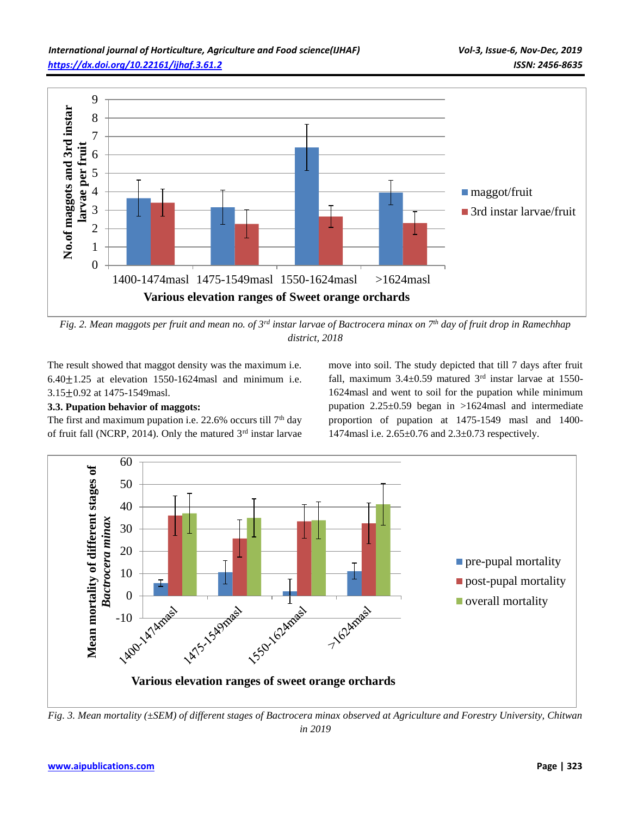

*Fig. 2. Mean maggots per fruit and mean no. of 3rd instar larvae of Bactrocera minax on 7th day of fruit drop in Ramechhap district, 2018*

The result showed that maggot density was the maximum i.e.  $6.40 \pm 1.25$  at elevation 1550-1624masl and minimum i.e. 3.15±0.92 at 1475-1549masl.

# **3.3. Pupation behavior of maggots:**

The first and maximum pupation i.e.  $22.6\%$  occurs till  $7<sup>th</sup>$  day of fruit fall (NCRP, 2014). Only the matured  $3<sup>rd</sup>$  instar larvae move into soil. The study depicted that till 7 days after fruit fall, maximum  $3.4 \pm 0.59$  matured  $3<sup>rd</sup>$  instar larvae at 1550-1624masl and went to soil for the pupation while minimum pupation 2.25±0.59 began in >1624masl and intermediate proportion of pupation at 1475-1549 masl and 1400- 1474masl i.e. 2.65±0.76 and 2.3±0.73 respectively.



*Fig. 3. Mean mortality (±SEM) of different stages of Bactrocera minax observed at Agriculture and Forestry University, Chitwan in 2019*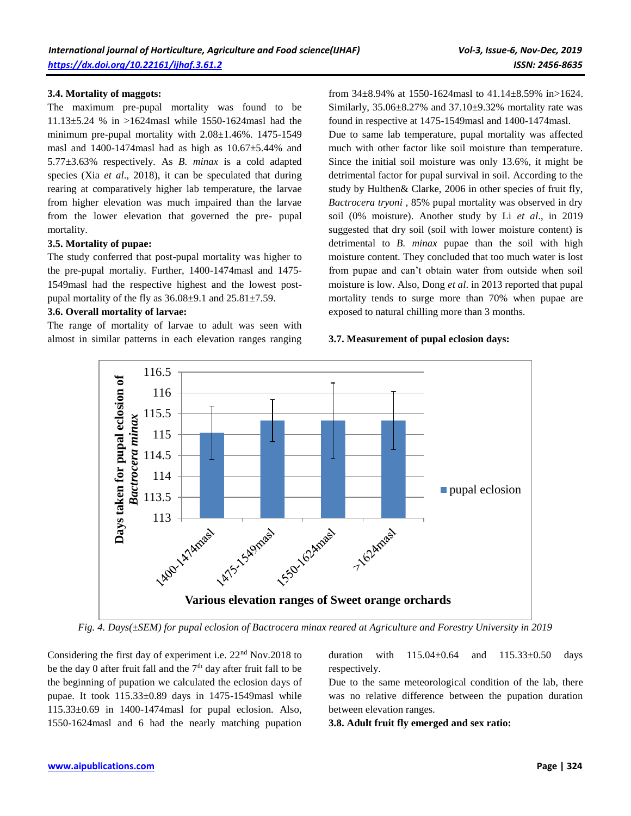### **3.4. Mortality of maggots:**

The maximum pre-pupal mortality was found to be 11.13±5.24 % in >1624masl while 1550-1624masl had the minimum pre-pupal mortality with 2.08±1.46%. 1475-1549 masl and  $1400-1474$  masl had as high as  $10.67\pm5.44$ % and 5.77±3.63% respectively. As *B. minax* is a cold adapted species (Xia *et al*., 2018), it can be speculated that during rearing at comparatively higher lab temperature, the larvae from higher elevation was much impaired than the larvae from the lower elevation that governed the pre- pupal mortality.

#### **3.5. Mortality of pupae:**

The study conferred that post-pupal mortality was higher to the pre-pupal mortaliy. Further, 1400-1474masl and 1475- 1549masl had the respective highest and the lowest postpupal mortality of the fly as  $36.08\pm9.1$  and  $25.81\pm7.59$ .

#### **3.6. Overall mortality of larvae:**

The range of mortality of larvae to adult was seen with almost in similar patterns in each elevation ranges ranging from 34±8.94% at 1550-1624masl to 41.14±8.59% in>1624. Similarly,  $35.06 \pm 8.27$ % and  $37.10 \pm 9.32$ % mortality rate was found in respective at 1475-1549masl and 1400-1474masl. Due to same lab temperature, pupal mortality was affected much with other factor like soil moisture than temperature. Since the initial soil moisture was only 13.6%, it might be detrimental factor for pupal survival in soil. According to the study by Hulthen& Clarke, 2006 in other species of fruit fly, *Bactrocera tryoni* , 85% pupal mortality was observed in dry soil (0% moisture). Another study by Li *et al*., in 2019 suggested that dry soil (soil with lower moisture content) is detrimental to *B. minax* pupae than the soil with high moisture content. They concluded that too much water is lost from pupae and can't obtain water from outside when soil moisture is low. Also, Dong *et al*. in 2013 reported that pupal mortality tends to surge more than 70% when pupae are exposed to natural chilling more than 3 months.

#### **3.7. Measurement of pupal eclosion days:**



*Fig. 4. Days(±SEM) for pupal eclosion of Bactrocera minax reared at Agriculture and Forestry University in 2019*

Considering the first day of experiment i.e. 22nd Nov.2018 to be the day 0 after fruit fall and the  $7<sup>th</sup>$  day after fruit fall to be the beginning of pupation we calculated the eclosion days of pupae. It took 115.33±0.89 days in 1475-1549masl while 115.33±0.69 in 1400-1474masl for pupal eclosion. Also, 1550-1624masl and 6 had the nearly matching pupation duration with  $115.04 \pm 0.64$  and  $115.33 \pm 0.50$  days respectively.

Due to the same meteorological condition of the lab, there was no relative difference between the pupation duration between elevation ranges.

**3.8. Adult fruit fly emerged and sex ratio:**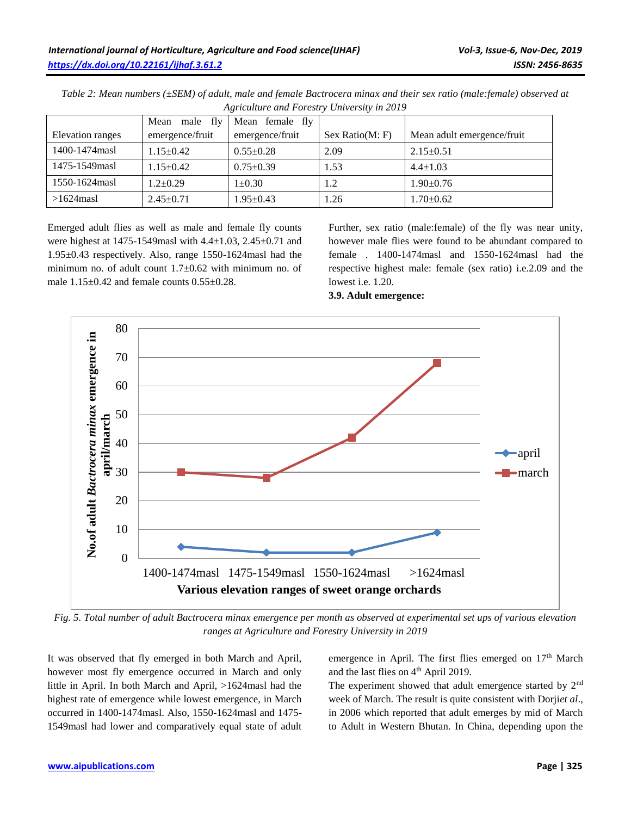|                  | male fly<br>Mean | Mean female fly |                 |                            |
|------------------|------------------|-----------------|-----------------|----------------------------|
| Elevation ranges | emergence/fruit  | emergence/fruit | Sex Ratio(M: F) | Mean adult emergence/fruit |
| 1400-1474 masl   | $1.15 \pm 0.42$  | $0.55 \pm 0.28$ | 2.09            | $2.15 \pm 0.51$            |
| 1475-1549masl    | $1.15 \pm 0.42$  | $0.75 \pm 0.39$ | 1.53            | $4.4 \pm 1.03$             |
| 1550-1624 masl   | $1.2+0.29$       | $1 \pm 0.30$    | 1.2             | $1.90 \pm 0.76$            |
| $>1624$ masl     | $2.45 \pm 0.71$  | $1.95 \pm 0.43$ | 1.26            | $1.70 \pm 0.62$            |

*Table 2: Mean numbers (±SEM) of adult, male and female Bactrocera minax and their sex ratio (male:female) observed at Agriculture and Forestry University in 2019*

Emerged adult flies as well as male and female fly counts were highest at 1475-1549masl with 4.4±1.03, 2.45±0.71 and 1.95±0.43 respectively. Also, range 1550-1624masl had the minimum no. of adult count  $1.7 \pm 0.62$  with minimum no. of male  $1.15\pm0.42$  and female counts  $0.55\pm0.28$ .

Further, sex ratio (male:female) of the fly was near unity, however male flies were found to be abundant compared to female . 1400-1474masl and 1550-1624masl had the respective highest male: female (sex ratio) i.e.2.09 and the lowest i.e. 1.20.



**3.9. Adult emergence:**

*Fig. 5. Total number of adult Bactrocera minax emergence per month as observed at experimental set ups of various elevation ranges at Agriculture and Forestry University in 2019*

It was observed that fly emerged in both March and April, however most fly emergence occurred in March and only little in April. In both March and April, >1624masl had the highest rate of emergence while lowest emergence, in March occurred in 1400-1474masl. Also, 1550-1624masl and 1475- 1549masl had lower and comparatively equal state of adult emergence in April. The first flies emerged on 17<sup>th</sup> March and the last flies on 4<sup>th</sup> April 2019.

The experiment showed that adult emergence started by 2<sup>nd</sup> week of March. The result is quite consistent with Dorji*et al*., in 2006 which reported that adult emerges by mid of March to Adult in Western Bhutan. In China, depending upon the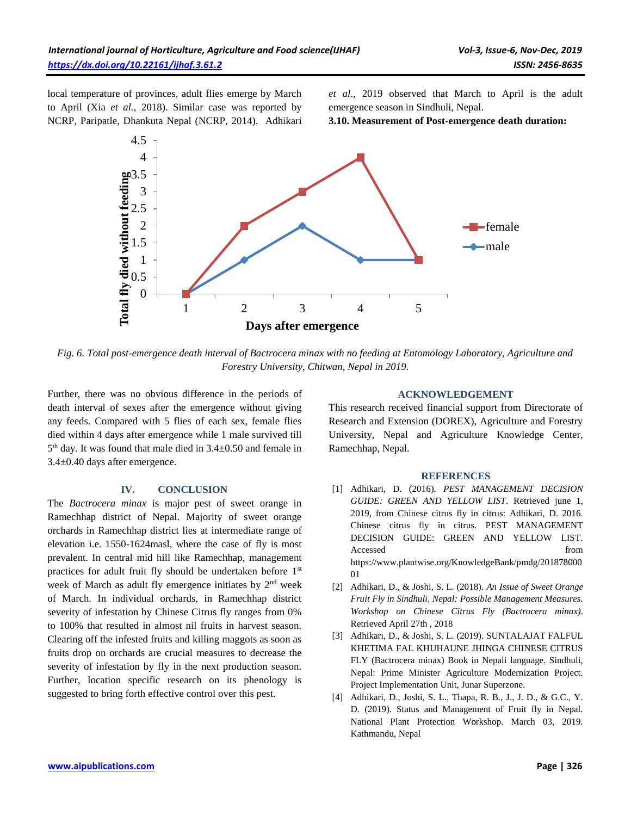local temperature of provinces, adult flies emerge by March to April (Xia *et al.,* 2018). Similar case was reported by NCRP, Paripatle, Dhankuta Nepal (NCRP, 2014). Adhikari *et al*., 2019 observed that March to April is the adult emergence season in Sindhuli, Nepal.

**3.10. Measurement of Post-emergence death duration:**



*Fig. 6. Total post-emergence death interval of Bactrocera minax with no feeding at Entomology Laboratory, Agriculture and Forestry University, Chitwan, Nepal in 2019.*

Further, there was no obvious difference in the periods of death interval of sexes after the emergence without giving any feeds. Compared with 5 flies of each sex, female flies died within 4 days after emergence while 1 male survived till 5 th day. It was found that male died in 3.4±0.50 and female in 3.4±0.40 days after emergence.

#### **IV. CONCLUSION**

The *Bactrocera minax* is major pest of sweet orange in Ramechhap district of Nepal. Majority of sweet orange orchards in Ramechhap district lies at intermediate range of elevation i.e. 1550-1624masl, where the case of fly is most prevalent. In central mid hill like Ramechhap, management practices for adult fruit fly should be undertaken before 1st week of March as adult fly emergence initiates by 2<sup>nd</sup> week of March. In individual orchards, in Ramechhap district severity of infestation by Chinese Citrus fly ranges from 0% to 100% that resulted in almost nil fruits in harvest season. Clearing off the infested fruits and killing maggots as soon as fruits drop on orchards are crucial measures to decrease the severity of infestation by fly in the next production season. Further, location specific research on its phenology is suggested to bring forth effective control over this pest.

#### **ACKNOWLEDGEMENT**

This research received financial support from Directorate of Research and Extension (DOREX), Agriculture and Forestry University, Nepal and Agriculture Knowledge Center, Ramechhap, Nepal.

#### **REFERENCES**

- [1] Adhikari, D. (2016). *PEST MANAGEMENT DECISION GUIDE: GREEN AND YELLOW LIST*. Retrieved june 1, 2019, from Chinese citrus fly in citrus: Adhikari, D. 2016. Chinese citrus fly in citrus. PEST MANAGEMENT DECISION GUIDE: GREEN AND YELLOW LIST. Accessed from  $\sim$ https://www.plantwise.org/KnowledgeBank/pmdg/201878000 01
- [2] Adhikari, D., & Joshi, S. L. (2018). *An Issue of Sweet Orange Fruit Fly in Sindhuli, Nepal: Possible Management Measures. Workshop on Chinese Citrus Fly (Bactrocera minax)*. Retrieved April 27th , 2018
- [3] Adhikari, D., & Joshi, S. L. (2019). SUNTALAJAT FALFUL KHETIMA FAL KHUHAUNE JHINGA CHINESE CITRUS FLY (Bactrocera minax) Book in Nepali language. Sindhuli, Nepal: Prime Minister Agriculture Modernization Project. Project Implementation Unit, Junar Superzone.
- [4] Adhikari, D., Joshi, S. L., Thapa, R. B., J., J. D., & G.C., Y. D. (2019). Status and Management of Fruit fly in Nepal. National Plant Protection Workshop. March 03, 2019. Kathmandu, Nepal